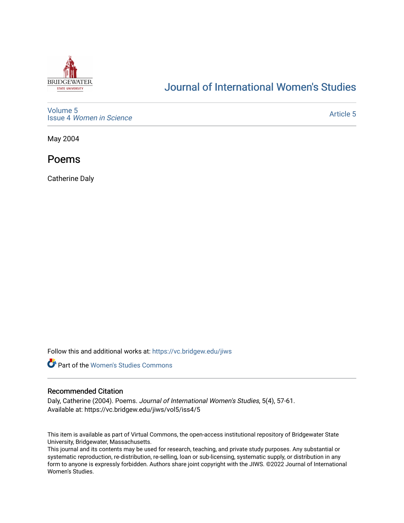

# [Journal of International Women's Studies](https://vc.bridgew.edu/jiws)

[Volume 5](https://vc.bridgew.edu/jiws/vol5) Issue 4 [Women in Science](https://vc.bridgew.edu/jiws/vol5/iss4) 

[Article 5](https://vc.bridgew.edu/jiws/vol5/iss4/5) 

May 2004

Poems

Catherine Daly

Follow this and additional works at: [https://vc.bridgew.edu/jiws](https://vc.bridgew.edu/jiws?utm_source=vc.bridgew.edu%2Fjiws%2Fvol5%2Fiss4%2F5&utm_medium=PDF&utm_campaign=PDFCoverPages)



#### Recommended Citation

Daly, Catherine (2004). Poems. Journal of International Women's Studies, 5(4), 57-61. Available at: https://vc.bridgew.edu/jiws/vol5/iss4/5

This item is available as part of Virtual Commons, the open-access institutional repository of Bridgewater State University, Bridgewater, Massachusetts.

This journal and its contents may be used for research, teaching, and private study purposes. Any substantial or systematic reproduction, re-distribution, re-selling, loan or sub-licensing, systematic supply, or distribution in any form to anyone is expressly forbidden. Authors share joint copyright with the JIWS. ©2022 Journal of International Women's Studies.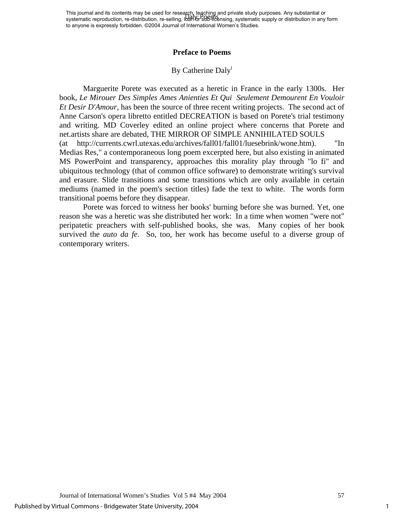This journal and its contents may be used for research, teaching and private study purposes. Any substantial or This journal and its contents may be used for research, tegeting and private study purposes. Any substantial or<br>systematic reproduction, re-distribution, re-selling, loan or sub-licensing, systematic supply or distribution to anyone is expressly forbidden. ©2004 Journal of International Women's Studies.

#### **Preface to Poems**

### By Cather[i](#page-5-0)ne Daly<sup>i</sup>

Marguerite Porete was executed as a heretic in France in the early 1300s. Her book, *Le Mirouer Des Simples Ames Anienties Et Qui Seulement Demourent En Vouloir Et Desir D'Amour*, has been the source of three recent writing projects. The second act of Anne Carson's opera libretto entitled DECREATION is based on Porete's trial testimony and writing. MD Coverley edited an online project where concerns that Porete and net.artists share are debated, THE MIRROR OF SIMPLE ANNIHILATED SOULS (at http://currents.cwrl.utexas.edu/archives/fall01/fall01/luesebrink/wone.htm). "In Medias Res," a contemporaneous long poem excerpted here, but also existing in animated MS PowerPoint and transparency, approaches this morality play through "lo fi" and ubiquitous technology (that of common office software) to demonstrate writing's survival and erasure. Slide transitions and some transitions which are only available in certain mediums (named in the poem's section titles) fade the text to white. The words form transitional poems before they disappear.

Porete was forced to witness her books' burning before she was burned. Yet, one reason she was a heretic was she distributed her work: In a time when women "were not" peripatetic preachers with self-published books, she was. Many copies of her book survived the *auto da fe*. So, too, her work has become useful to a diverse group of contemporary writers.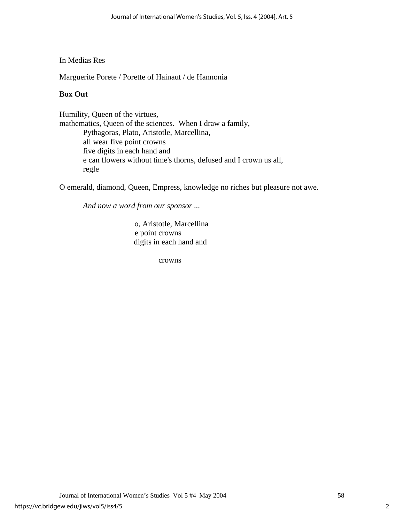### In Medias Res

Marguerite Porete / Porette of Hainaut / de Hannonia

## **Box Out**

Humility, Queen of the virtues, mathematics, Queen of the sciences. When I draw a family, Pythagoras, Plato, Aristotle, Marcellina, all wear five point crowns five digits in each hand and e can flowers without time's thorns, defused and I crown us all, regle

O emerald, diamond, Queen, Empress, knowledge no riches but pleasure not awe.

 *And now a word from our sponsor ...* 

o, Aristotle, Marcellina e point crowns digits in each hand and

crowns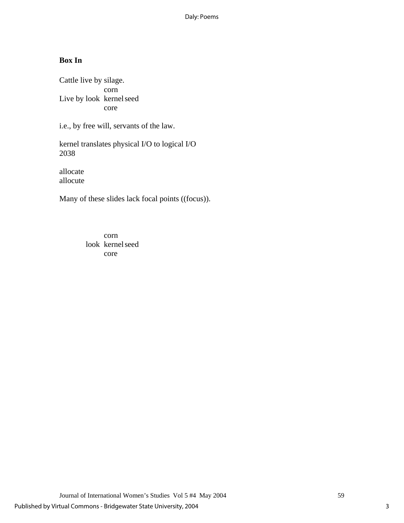# **Box In**

Cattle live by silage. corn Live by look kernel seed core

i.e., by free will, servants of the law.

kernel translates physical I/O to logical I/O 2038

allocate allocute

Many of these slides lack focal points ((focus)).

 corn look kernel seed core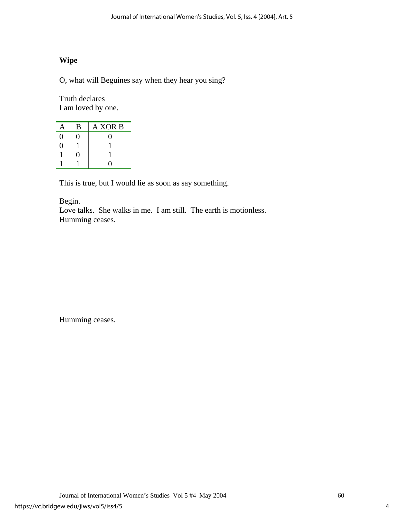# **Wipe**

O, what will Beguines say when they hear you sing?

Truth declares I am loved by one.

| А                 | В | A XOR B          |
|-------------------|---|------------------|
| 0                 | 0 | $\left( \right)$ |
| $\mathbf{\Omega}$ |   |                  |
|                   | 0 |                  |
|                   |   |                  |

This is true, but I would lie as soon as say something.

Begin.

Love talks. She walks in me. I am still. The earth is motionless. Humming ceases.

Humming ceases.